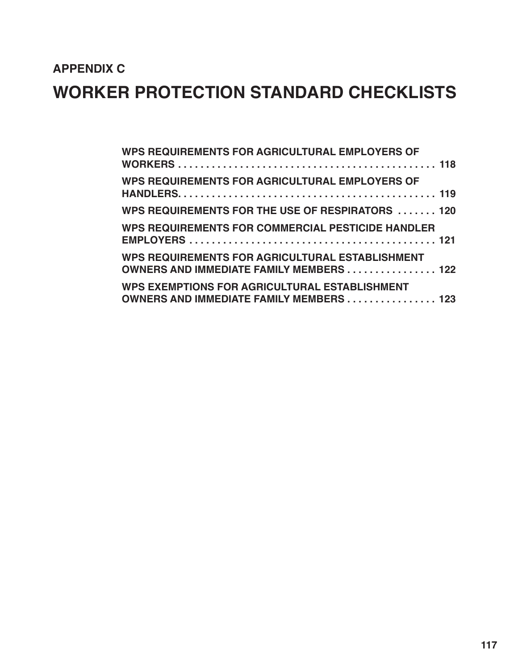# **APPENDIX C WORKER PROTECTION STANDARD CHECKLISTS**

| WPS REQUIREMENTS FOR AGRICULTURAL EMPLOYERS OF                                                    |  |
|---------------------------------------------------------------------------------------------------|--|
| WPS REQUIREMENTS FOR AGRICULTURAL EMPLOYERS OF                                                    |  |
| WPS REQUIREMENTS FOR THE USE OF RESPIRATORS  120                                                  |  |
| <b>WPS REQUIREMENTS FOR COMMERCIAL PESTICIDE HANDLER</b>                                          |  |
| WPS REQUIREMENTS FOR AGRICULTURAL ESTABLISHMENT<br><b>OWNERS AND IMMEDIATE FAMILY MEMBERS 122</b> |  |
| WPS EXEMPTIONS FOR AGRICULTURAL ESTABLISHMENT<br><b>OWNERS AND IMMEDIATE FAMILY MEMBERS 123</b>   |  |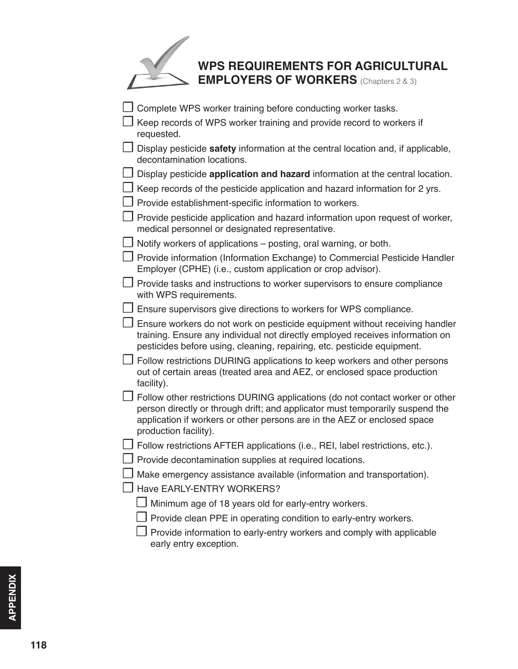## **WPS REQUIREMENTS FOR AGRICULTURAL EMPLOYERS OF WORKERS** (Chapters 2 & 3)

<span id="page-1-0"></span>

| Complete WPS worker training before conducting worker tasks.                                                                                                                                                                                                        |  |
|---------------------------------------------------------------------------------------------------------------------------------------------------------------------------------------------------------------------------------------------------------------------|--|
| Keep records of WPS worker training and provide record to workers if<br>requested.                                                                                                                                                                                  |  |
| Display pesticide safety information at the central location and, if applicable,<br>decontamination locations.                                                                                                                                                      |  |
| Display pesticide application and hazard information at the central location.                                                                                                                                                                                       |  |
| Keep records of the pesticide application and hazard information for 2 yrs.                                                                                                                                                                                         |  |
| Provide establishment-specific information to workers.                                                                                                                                                                                                              |  |
| Provide pesticide application and hazard information upon request of worker,<br>medical personnel or designated representative.                                                                                                                                     |  |
| Notify workers of applications – posting, oral warning, or both.                                                                                                                                                                                                    |  |
| Provide information (Information Exchange) to Commercial Pesticide Handler<br>Employer (CPHE) (i.e., custom application or crop advisor).                                                                                                                           |  |
| Provide tasks and instructions to worker supervisors to ensure compliance<br>with WPS requirements.                                                                                                                                                                 |  |
| Ensure supervisors give directions to workers for WPS compliance.                                                                                                                                                                                                   |  |
| Ensure workers do not work on pesticide equipment without receiving handler<br>training. Ensure any individual not directly employed receives information on<br>pesticides before using, cleaning, repairing, etc. pesticide equipment.                             |  |
| Follow restrictions DURING applications to keep workers and other persons<br>out of certain areas (treated area and AEZ, or enclosed space production<br>facility).                                                                                                 |  |
| Follow other restrictions DURING applications (do not contact worker or other<br>person directly or through drift; and applicator must temporarily suspend the<br>application if workers or other persons are in the AEZ or enclosed space<br>production facility). |  |
| Follow restrictions AFTER applications (i.e., REI, label restrictions, etc.).                                                                                                                                                                                       |  |
| Provide decontamination supplies at required locations.                                                                                                                                                                                                             |  |
| Make emergency assistance available (information and transportation).                                                                                                                                                                                               |  |
| Have EARLY-ENTRY WORKERS?                                                                                                                                                                                                                                           |  |
| Minimum age of 18 years old for early-entry workers.                                                                                                                                                                                                                |  |
| Provide clean PPE in operating condition to early-entry workers.                                                                                                                                                                                                    |  |
| Provide information to early-entry workers and comply with applicable<br>early entry exception.                                                                                                                                                                     |  |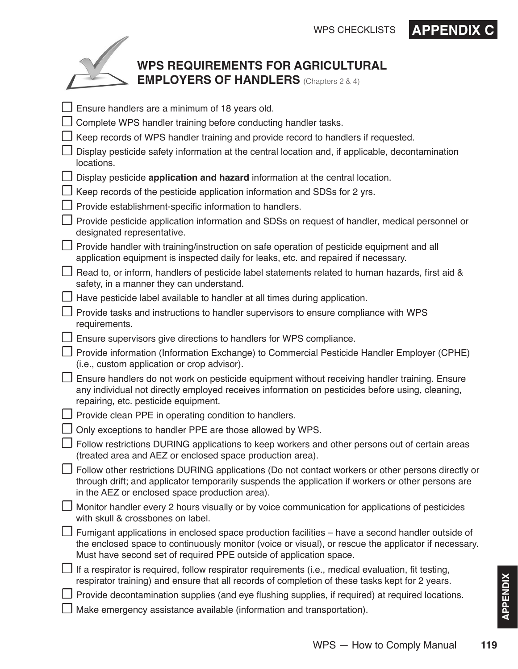## **WPS REQUIREMENTS FOR AGRICULTURAL EMPLOYERS OF HANDLERS** (Chapters 2 & 4)

<span id="page-2-0"></span>

| Ensure handlers are a minimum of 18 years old.                                                                                                                                                                                                                                 |
|--------------------------------------------------------------------------------------------------------------------------------------------------------------------------------------------------------------------------------------------------------------------------------|
| Complete WPS handler training before conducting handler tasks.                                                                                                                                                                                                                 |
| Keep records of WPS handler training and provide record to handlers if requested.                                                                                                                                                                                              |
| Display pesticide safety information at the central location and, if applicable, decontamination<br>locations.                                                                                                                                                                 |
| Display pesticide application and hazard information at the central location.                                                                                                                                                                                                  |
| Keep records of the pesticide application information and SDSs for 2 yrs.                                                                                                                                                                                                      |
| $\Box$ Provide establishment-specific information to handlers.                                                                                                                                                                                                                 |
| □ Provide pesticide application information and SDSs on request of handler, medical personnel or<br>designated representative.                                                                                                                                                 |
| Provide handler with training/instruction on safe operation of pesticide equipment and all<br>application equipment is inspected daily for leaks, etc. and repaired if necessary.                                                                                              |
| $\Box$ Read to, or inform, handlers of pesticide label statements related to human hazards, first aid &<br>safety, in a manner they can understand.                                                                                                                            |
| $\Box$ Have pesticide label available to handler at all times during application.                                                                                                                                                                                              |
| Provide tasks and instructions to handler supervisors to ensure compliance with WPS<br>requirements.                                                                                                                                                                           |
| Ensure supervisors give directions to handlers for WPS compliance.                                                                                                                                                                                                             |
| Provide information (Information Exchange) to Commercial Pesticide Handler Employer (CPHE)<br>(i.e., custom application or crop advisor).                                                                                                                                      |
| Ensure handlers do not work on pesticide equipment without receiving handler training. Ensure<br>any individual not directly employed receives information on pesticides before using, cleaning,<br>repairing, etc. pesticide equipment.                                       |
| $\Box$ Provide clean PPE in operating condition to handlers.                                                                                                                                                                                                                   |
| Only exceptions to handler PPE are those allowed by WPS.                                                                                                                                                                                                                       |
| Follow restrictions DURING applications to keep workers and other persons out of certain areas<br>(treated area and AEZ or enclosed space production area).                                                                                                                    |
| Follow other restrictions DURING applications (Do not contact workers or other persons directly or<br>through drift; and applicator temporarily suspends the application if workers or other persons are<br>in the AEZ or enclosed space production area).                     |
| Monitor handler every 2 hours visually or by voice communication for applications of pesticides<br>with skull & crossbones on label.                                                                                                                                           |
| Fumigant applications in enclosed space production facilities – have a second handler outside of<br>the enclosed space to continuously monitor (voice or visual), or rescue the applicator if necessary.<br>Must have second set of required PPE outside of application space. |
| If a respirator is required, follow respirator requirements (i.e., medical evaluation, fit testing,<br>respirator training) and ensure that all records of completion of these tasks kept for 2 years.                                                                         |
| Provide decontamination supplies (and eye flushing supplies, if required) at required locations.                                                                                                                                                                               |
| Make emergency assistance available (information and transportation).                                                                                                                                                                                                          |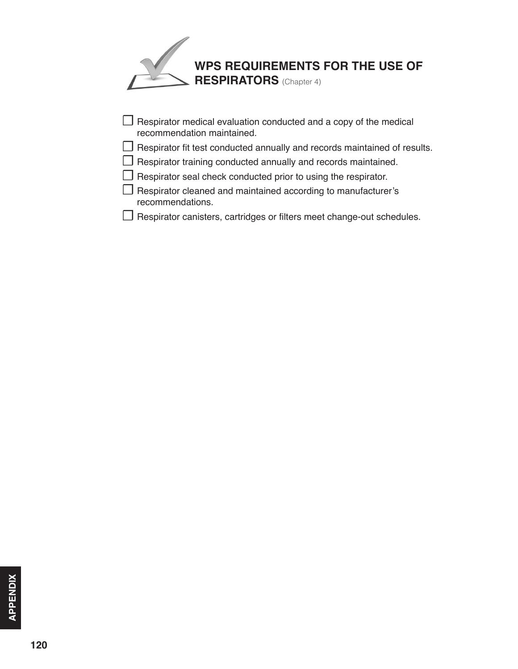<span id="page-3-0"></span>

| $\Box$ Respirator medical evaluation conducted and a copy of the medical<br>recommendation maintained. |
|--------------------------------------------------------------------------------------------------------|
| $\Box$ Respirator fit test conducted annually and records maintained of results.                       |
| $\Box$ Respirator training conducted annually and records maintained.                                  |
| $\Box$ Respirator seal check conducted prior to using the respirator.                                  |
| $\Box$ Respirator cleaned and maintained according to manufacturer's<br>recommendations.               |

☐ Respirator canisters, cartridges or filters meet change-out schedules.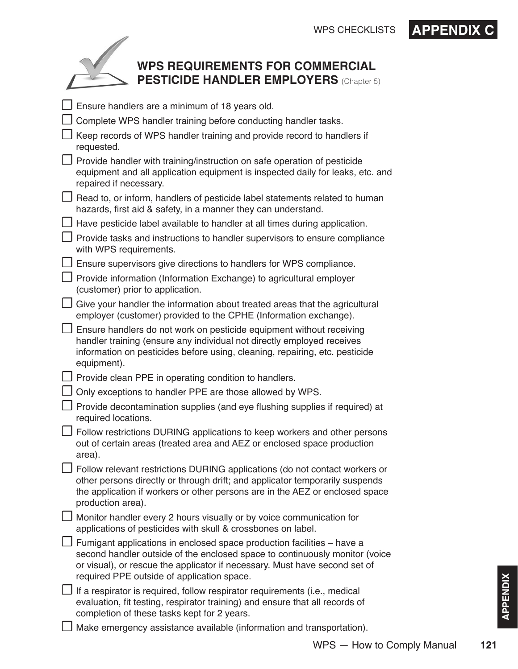# WPS CHECKLISTS **APPENDIX C**

<span id="page-4-0"></span>

### **WPS REQUIREMENTS FOR COMMERCIAL PESTICIDE HANDLER EMPLOYERS** (Chapter 5)

| Ensure handlers are a minimum of 18 years old.                                                                                                                                                                                                                                      |
|-------------------------------------------------------------------------------------------------------------------------------------------------------------------------------------------------------------------------------------------------------------------------------------|
| Complete WPS handler training before conducting handler tasks.                                                                                                                                                                                                                      |
| Keep records of WPS handler training and provide record to handlers if<br>requested.                                                                                                                                                                                                |
| Provide handler with training/instruction on safe operation of pesticide<br>equipment and all application equipment is inspected daily for leaks, etc. and<br>repaired if necessary.                                                                                                |
| Read to, or inform, handlers of pesticide label statements related to human<br>hazards, first aid & safety, in a manner they can understand.                                                                                                                                        |
| Have pesticide label available to handler at all times during application.                                                                                                                                                                                                          |
| Provide tasks and instructions to handler supervisors to ensure compliance<br>with WPS requirements.                                                                                                                                                                                |
| Ensure supervisors give directions to handlers for WPS compliance.                                                                                                                                                                                                                  |
| Provide information (Information Exchange) to agricultural employer<br>(customer) prior to application.                                                                                                                                                                             |
| Give your handler the information about treated areas that the agricultural<br>employer (customer) provided to the CPHE (Information exchange).                                                                                                                                     |
| $\Box$ Ensure handlers do not work on pesticide equipment without receiving<br>handler training (ensure any individual not directly employed receives<br>information on pesticides before using, cleaning, repairing, etc. pesticide<br>equipment).                                 |
| Provide clean PPE in operating condition to handlers.                                                                                                                                                                                                                               |
| Only exceptions to handler PPE are those allowed by WPS.                                                                                                                                                                                                                            |
| Provide decontamination supplies (and eye flushing supplies if required) at<br>required locations.                                                                                                                                                                                  |
| Follow restrictions DURING applications to keep workers and other persons<br>out of certain areas (treated area and AEZ or enclosed space production<br>area).                                                                                                                      |
| □ Follow relevant restrictions DURING applications (do not contact workers or<br>other persons directly or through drift; and applicator temporarily suspends<br>the application if workers or other persons are in the AEZ or enclosed space<br>production area).                  |
| J Monitor handler every 2 hours visually or by voice communication for<br>applications of pesticides with skull & crossbones on label.                                                                                                                                              |
| J Fumigant applications in enclosed space production facilities – have a<br>second handler outside of the enclosed space to continuously monitor (voice<br>or visual), or rescue the applicator if necessary. Must have second set of<br>required PPE outside of application space. |
| $\Box$ If a respirator is required, follow respirator requirements (i.e., medical<br>evaluation, fit testing, respirator training) and ensure that all records of<br>completion of these tasks kept for 2 years.                                                                    |
| Make emergency assistance available (information and transportation).                                                                                                                                                                                                               |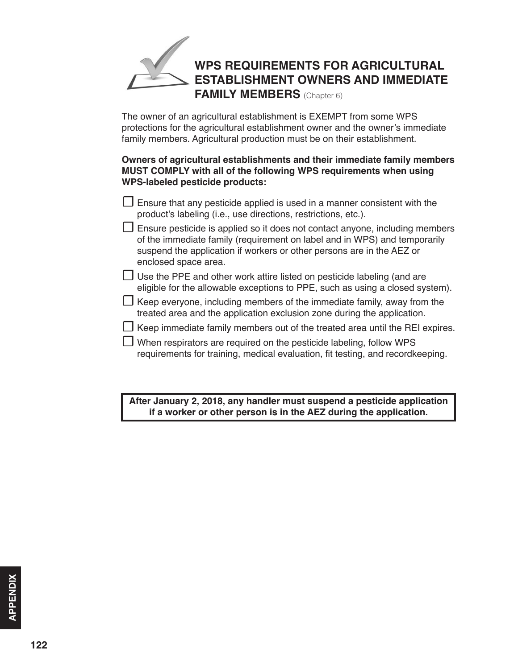# <span id="page-5-0"></span>**WPS REQUIREMENTS FOR AGRICULTURAL ESTABLISHMENT OWNERS AND IMMEDIATE FAMILY MEMBERS** (Chapter 6)

The owner of an agricultural establishment is EXEMPT from some WPS protections for the agricultural establishment owner and the owner's immediate family members. Agricultural production must be on their establishment.

#### **Owners of agricultural establishments and their immediate family members MUST COMPLY with all of the following WPS requirements when using WPS-labeled pesticide products:**

- $\Box$  Ensure that any pesticide applied is used in a manner consistent with the product's labeling (i.e., use directions, restrictions, etc.).
- $\Box$  Ensure pesticide is applied so it does not contact anyone, including members of the immediate family (requirement on label and in WPS) and temporarily suspend the application if workers or other persons are in the AEZ or enclosed space area.
- $\Box$  Use the PPE and other work attire listed on pesticide labeling (and are eligible for the allowable exceptions to PPE, such as using a closed system).
- $\Box$  Keep everyone, including members of the immediate family, away from the treated area and the application exclusion zone during the application.
- $\Box$  Keep immediate family members out of the treated area until the REI expires.
- $\Box$  When respirators are required on the pesticide labeling, follow WPS requirements for training, medical evaluation, fit testing, and recordkeeping.

**After January 2, 2018, any handler must suspend a pesticide application if a worker or other person is in the AEZ during the application.**